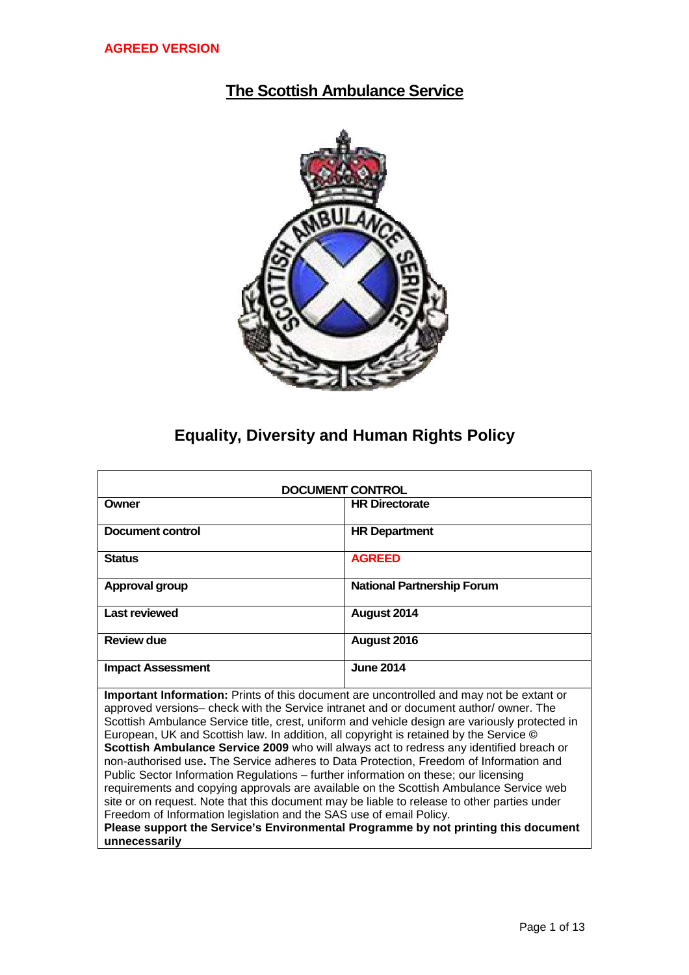# **The Scottish Ambulance Service**



# **Equality, Diversity and Human Rights Policy**

| <b>DOCUMENT CONTROL</b>                                                                                                                                                                                                                                                                                                                                                                                                                                                                                                                                                                                                                                                                                                                                                                                                                                                                                                                                                                                                         |                                   |  |  |
|---------------------------------------------------------------------------------------------------------------------------------------------------------------------------------------------------------------------------------------------------------------------------------------------------------------------------------------------------------------------------------------------------------------------------------------------------------------------------------------------------------------------------------------------------------------------------------------------------------------------------------------------------------------------------------------------------------------------------------------------------------------------------------------------------------------------------------------------------------------------------------------------------------------------------------------------------------------------------------------------------------------------------------|-----------------------------------|--|--|
| Owner                                                                                                                                                                                                                                                                                                                                                                                                                                                                                                                                                                                                                                                                                                                                                                                                                                                                                                                                                                                                                           | <b>HR Directorate</b>             |  |  |
| Document control                                                                                                                                                                                                                                                                                                                                                                                                                                                                                                                                                                                                                                                                                                                                                                                                                                                                                                                                                                                                                | <b>HR Department</b>              |  |  |
| <b>Status</b>                                                                                                                                                                                                                                                                                                                                                                                                                                                                                                                                                                                                                                                                                                                                                                                                                                                                                                                                                                                                                   | <b>AGREED</b>                     |  |  |
| Approval group                                                                                                                                                                                                                                                                                                                                                                                                                                                                                                                                                                                                                                                                                                                                                                                                                                                                                                                                                                                                                  | <b>National Partnership Forum</b> |  |  |
| <b>Last reviewed</b>                                                                                                                                                                                                                                                                                                                                                                                                                                                                                                                                                                                                                                                                                                                                                                                                                                                                                                                                                                                                            | August 2014                       |  |  |
| Review due                                                                                                                                                                                                                                                                                                                                                                                                                                                                                                                                                                                                                                                                                                                                                                                                                                                                                                                                                                                                                      | August 2016                       |  |  |
| <b>Impact Assessment</b>                                                                                                                                                                                                                                                                                                                                                                                                                                                                                                                                                                                                                                                                                                                                                                                                                                                                                                                                                                                                        | <b>June 2014</b>                  |  |  |
| Important Information: Prints of this document are uncontrolled and may not be extant or<br>approved versions- check with the Service intranet and or document author/owner. The<br>Scottish Ambulance Service title, crest, uniform and vehicle design are variously protected in<br>European, UK and Scottish law. In addition, all copyright is retained by the Service ©<br>Scottish Ambulance Service 2009 who will always act to redress any identified breach or<br>non-authorised use. The Service adheres to Data Protection, Freedom of Information and<br>Public Sector Information Regulations - further information on these; our licensing<br>requirements and copying approvals are available on the Scottish Ambulance Service web<br>site or on request. Note that this document may be liable to release to other parties under<br>Freedom of Information legislation and the SAS use of email Policy.<br>Please support the Service's Environmental Programme by not printing this document<br>unnecessarily |                                   |  |  |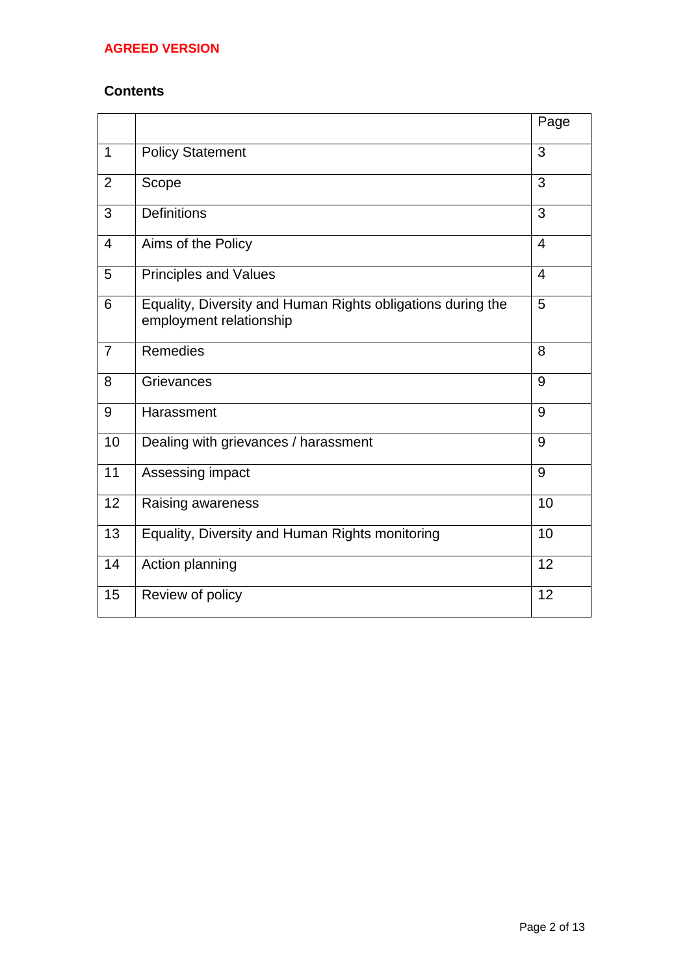# **Contents**

|                |                                                                                        | Page           |
|----------------|----------------------------------------------------------------------------------------|----------------|
| $\mathbf{1}$   | <b>Policy Statement</b>                                                                | 3              |
| $\overline{2}$ | Scope                                                                                  | 3              |
| 3              | <b>Definitions</b>                                                                     | 3              |
| $\overline{4}$ | Aims of the Policy                                                                     | $\overline{4}$ |
| 5              | <b>Principles and Values</b>                                                           | $\overline{4}$ |
| 6              | Equality, Diversity and Human Rights obligations during the<br>employment relationship | 5              |
| $\overline{7}$ | <b>Remedies</b>                                                                        | 8              |
| 8              | Grievances                                                                             | 9              |
| 9              | Harassment                                                                             | 9              |
| 10             | Dealing with grievances / harassment                                                   | 9              |
| 11             | Assessing impact                                                                       | 9              |
| 12             | Raising awareness                                                                      | 10             |
| 13             | Equality, Diversity and Human Rights monitoring                                        | 10             |
| 14             | Action planning                                                                        | 12             |
| 15             | Review of policy                                                                       | 12             |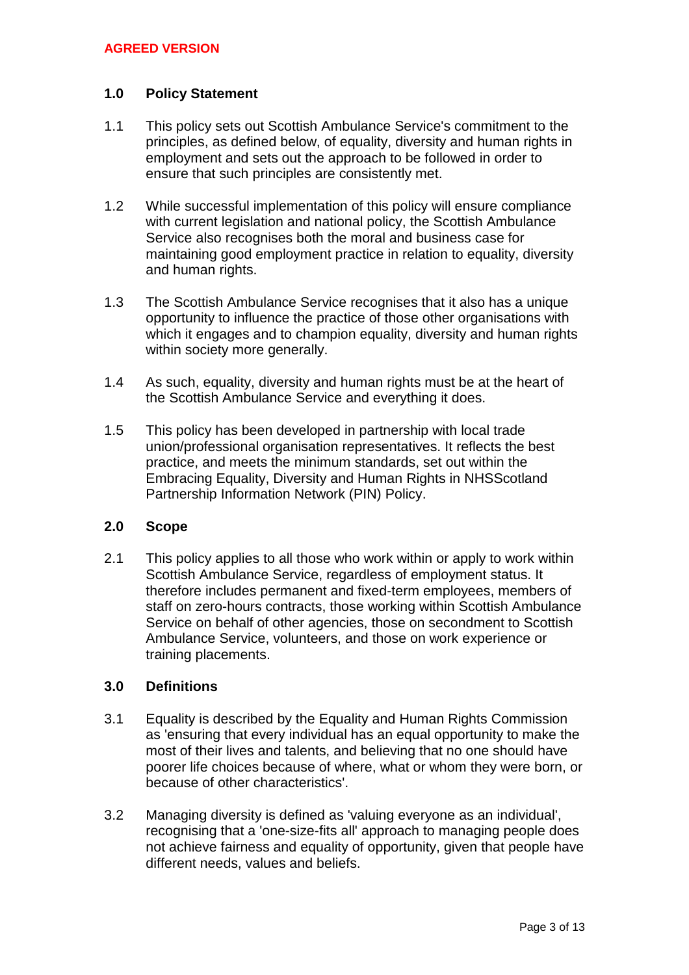## **1.0 Policy Statement**

- 1.1 This policy sets out Scottish Ambulance Service's commitment to the principles, as defined below, of equality, diversity and human rights in employment and sets out the approach to be followed in order to ensure that such principles are consistently met.
- 1.2 While successful implementation of this policy will ensure compliance with current legislation and national policy, the Scottish Ambulance Service also recognises both the moral and business case for maintaining good employment practice in relation to equality, diversity and human rights.
- 1.3 The Scottish Ambulance Service recognises that it also has a unique opportunity to influence the practice of those other organisations with which it engages and to champion equality, diversity and human rights within society more generally.
- 1.4 As such, equality, diversity and human rights must be at the heart of the Scottish Ambulance Service and everything it does.
- 1.5 This policy has been developed in partnership with local trade union/professional organisation representatives. It reflects the best practice, and meets the minimum standards, set out within the Embracing Equality, Diversity and Human Rights in NHSScotland Partnership Information Network (PIN) Policy.

## **2.0 Scope**

2.1 This policy applies to all those who work within or apply to work within Scottish Ambulance Service, regardless of employment status. It therefore includes permanent and fixed-term employees, members of staff on zero-hours contracts, those working within Scottish Ambulance Service on behalf of other agencies, those on secondment to Scottish Ambulance Service, volunteers, and those on work experience or training placements.

## **3.0 Definitions**

- 3.1 Equality is described by the Equality and Human Rights Commission as 'ensuring that every individual has an equal opportunity to make the most of their lives and talents, and believing that no one should have poorer life choices because of where, what or whom they were born, or because of other characteristics'.
- 3.2 Managing diversity is defined as 'valuing everyone as an individual', recognising that a 'one-size-fits all' approach to managing people does not achieve fairness and equality of opportunity, given that people have different needs, values and beliefs.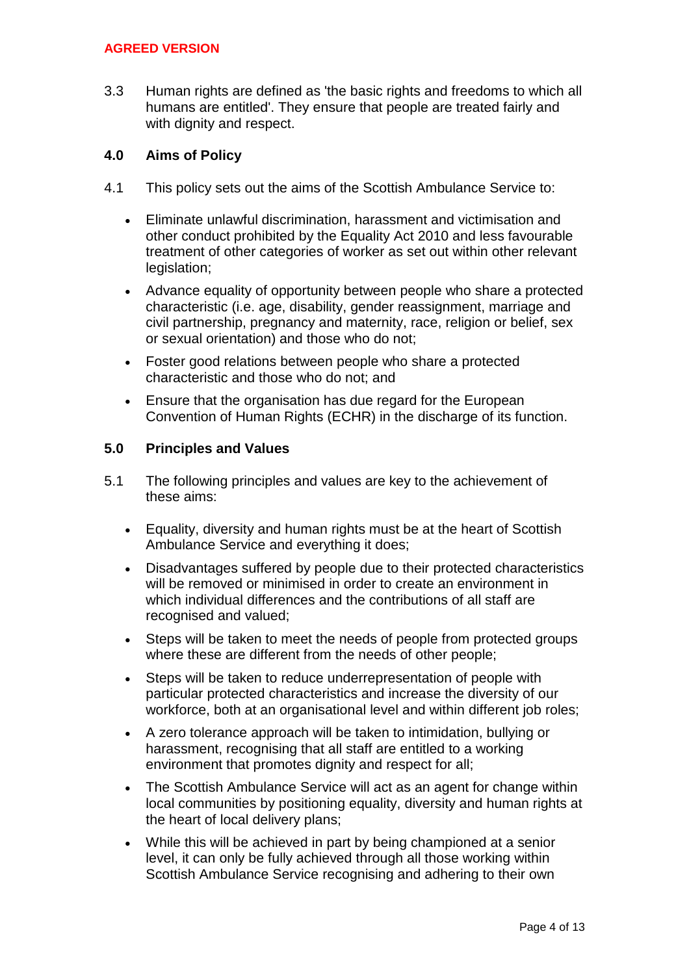3.3 Human rights are defined as 'the basic rights and freedoms to which all humans are entitled'. They ensure that people are treated fairly and with dignity and respect.

## **4.0 Aims of Policy**

- 4.1 This policy sets out the aims of the Scottish Ambulance Service to:
	- Eliminate unlawful discrimination, harassment and victimisation and other conduct prohibited by the Equality Act 2010 and less favourable treatment of other categories of worker as set out within other relevant legislation;
	- Advance equality of opportunity between people who share a protected characteristic (i.e. age, disability, gender reassignment, marriage and civil partnership, pregnancy and maternity, race, religion or belief, sex or sexual orientation) and those who do not;
	- Foster good relations between people who share a protected characteristic and those who do not; and
	- Ensure that the organisation has due regard for the European Convention of Human Rights (ECHR) in the discharge of its function.

### **5.0 Principles and Values**

- 5.1 The following principles and values are key to the achievement of these aims:
	- Equality, diversity and human rights must be at the heart of Scottish Ambulance Service and everything it does;
	- Disadvantages suffered by people due to their protected characteristics will be removed or minimised in order to create an environment in which individual differences and the contributions of all staff are recognised and valued;
	- Steps will be taken to meet the needs of people from protected groups where these are different from the needs of other people;
	- Steps will be taken to reduce underrepresentation of people with particular protected characteristics and increase the diversity of our workforce, both at an organisational level and within different job roles;
	- A zero tolerance approach will be taken to intimidation, bullying or harassment, recognising that all staff are entitled to a working environment that promotes dignity and respect for all;
	- The Scottish Ambulance Service will act as an agent for change within local communities by positioning equality, diversity and human rights at the heart of local delivery plans;
	- While this will be achieved in part by being championed at a senior level, it can only be fully achieved through all those working within Scottish Ambulance Service recognising and adhering to their own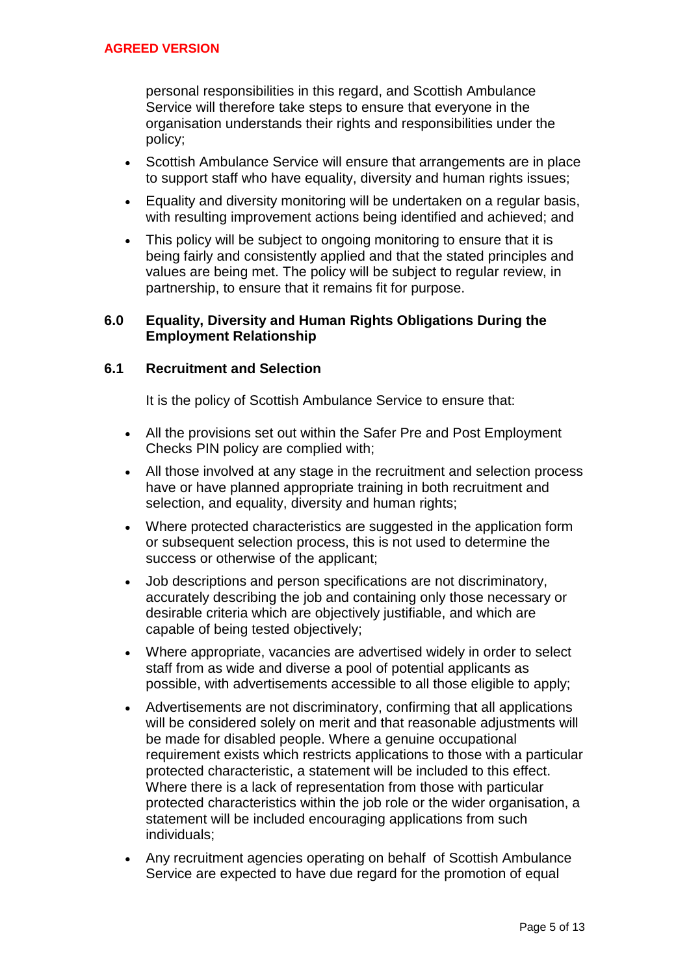personal responsibilities in this regard, and Scottish Ambulance Service will therefore take steps to ensure that everyone in the organisation understands their rights and responsibilities under the policy;

- Scottish Ambulance Service will ensure that arrangements are in place to support staff who have equality, diversity and human rights issues;
- Equality and diversity monitoring will be undertaken on a regular basis, with resulting improvement actions being identified and achieved; and
- This policy will be subject to ongoing monitoring to ensure that it is being fairly and consistently applied and that the stated principles and values are being met. The policy will be subject to regular review, in partnership, to ensure that it remains fit for purpose.

## **6.0 Equality, Diversity and Human Rights Obligations During the Employment Relationship**

# **6.1 Recruitment and Selection**

It is the policy of Scottish Ambulance Service to ensure that:

- All the provisions set out within the Safer Pre and Post Employment Checks PIN policy are complied with;
- All those involved at any stage in the recruitment and selection process have or have planned appropriate training in both recruitment and selection, and equality, diversity and human rights;
- Where protected characteristics are suggested in the application form or subsequent selection process, this is not used to determine the success or otherwise of the applicant;
- Job descriptions and person specifications are not discriminatory, accurately describing the job and containing only those necessary or desirable criteria which are objectively justifiable, and which are capable of being tested objectively;
- Where appropriate, vacancies are advertised widely in order to select staff from as wide and diverse a pool of potential applicants as possible, with advertisements accessible to all those eligible to apply;
- Advertisements are not discriminatory, confirming that all applications will be considered solely on merit and that reasonable adjustments will be made for disabled people. Where a genuine occupational requirement exists which restricts applications to those with a particular protected characteristic, a statement will be included to this effect. Where there is a lack of representation from those with particular protected characteristics within the job role or the wider organisation, a statement will be included encouraging applications from such individuals;
- Any recruitment agencies operating on behalf of Scottish Ambulance Service are expected to have due regard for the promotion of equal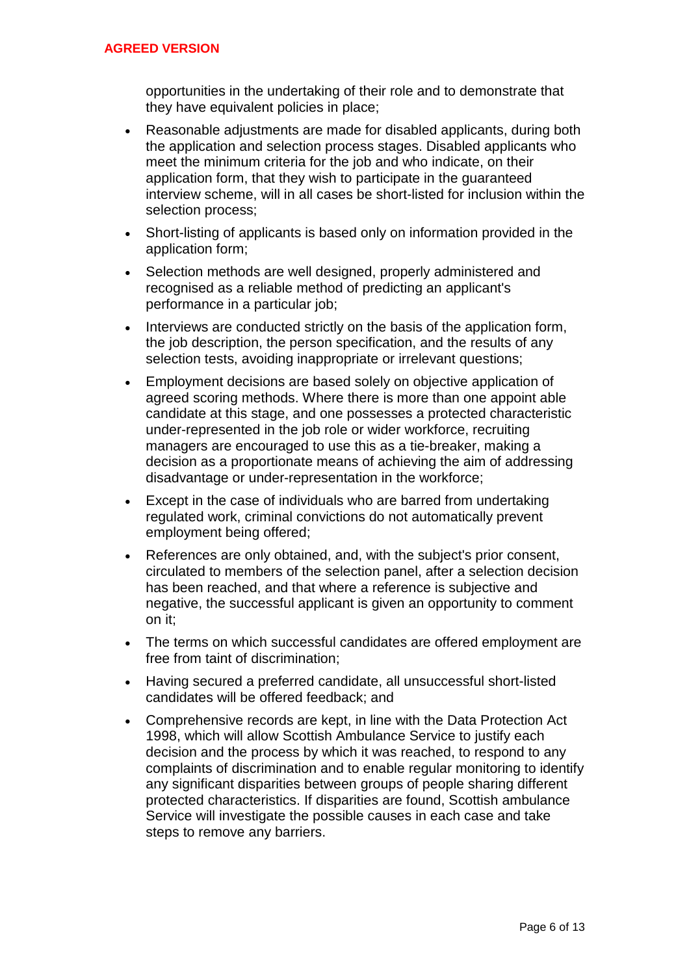opportunities in the undertaking of their role and to demonstrate that they have equivalent policies in place;

- Reasonable adjustments are made for disabled applicants, during both the application and selection process stages. Disabled applicants who meet the minimum criteria for the job and who indicate, on their application form, that they wish to participate in the guaranteed interview scheme, will in all cases be short-listed for inclusion within the selection process;
- Short-listing of applicants is based only on information provided in the application form;
- Selection methods are well designed, properly administered and recognised as a reliable method of predicting an applicant's performance in a particular job;
- Interviews are conducted strictly on the basis of the application form, the job description, the person specification, and the results of any selection tests, avoiding inappropriate or irrelevant questions;
- Employment decisions are based solely on objective application of agreed scoring methods. Where there is more than one appoint able candidate at this stage, and one possesses a protected characteristic under-represented in the job role or wider workforce, recruiting managers are encouraged to use this as a tie-breaker, making a decision as a proportionate means of achieving the aim of addressing disadvantage or under-representation in the workforce;
- Except in the case of individuals who are barred from undertaking regulated work, criminal convictions do not automatically prevent employment being offered;
- References are only obtained, and, with the subject's prior consent, circulated to members of the selection panel, after a selection decision has been reached, and that where a reference is subjective and negative, the successful applicant is given an opportunity to comment on it;
- The terms on which successful candidates are offered employment are free from taint of discrimination;
- Having secured a preferred candidate, all unsuccessful short-listed candidates will be offered feedback; and
- Comprehensive records are kept, in line with the Data Protection Act 1998, which will allow Scottish Ambulance Service to justify each decision and the process by which it was reached, to respond to any complaints of discrimination and to enable regular monitoring to identify any significant disparities between groups of people sharing different protected characteristics. If disparities are found, Scottish ambulance Service will investigate the possible causes in each case and take steps to remove any barriers.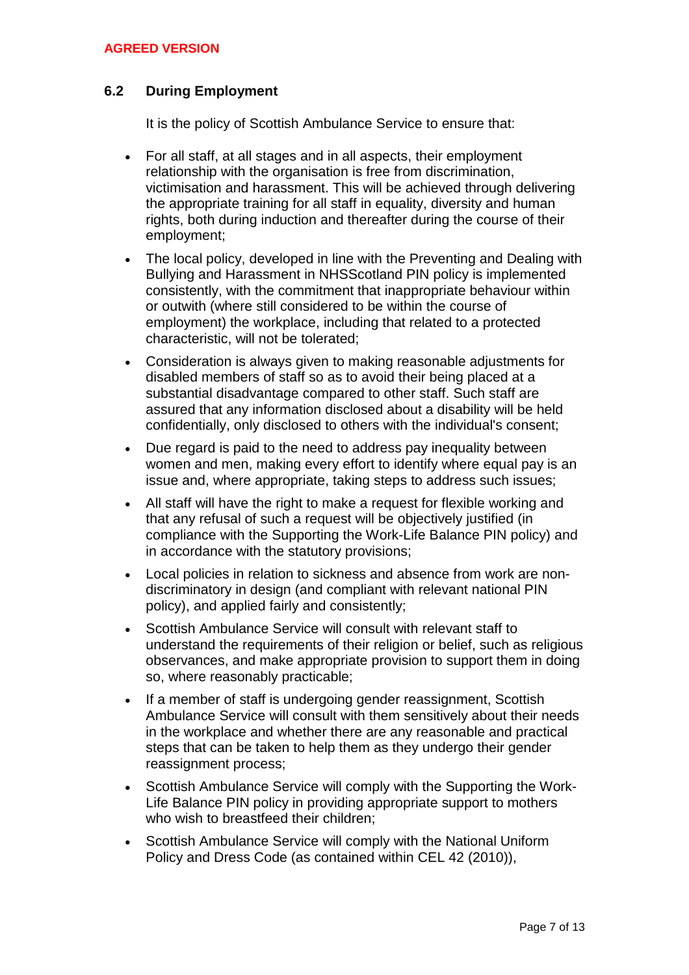# **6.2 During Employment**

It is the policy of Scottish Ambulance Service to ensure that:

- For all staff, at all stages and in all aspects, their employment relationship with the organisation is free from discrimination, victimisation and harassment. This will be achieved through delivering the appropriate training for all staff in equality, diversity and human rights, both during induction and thereafter during the course of their employment;
- The local policy, developed in line with the Preventing and Dealing with Bullying and Harassment in NHSScotland PIN policy is implemented consistently, with the commitment that inappropriate behaviour within or outwith (where still considered to be within the course of employment) the workplace, including that related to a protected characteristic, will not be tolerated;
- Consideration is always given to making reasonable adjustments for disabled members of staff so as to avoid their being placed at a substantial disadvantage compared to other staff. Such staff are assured that any information disclosed about a disability will be held confidentially, only disclosed to others with the individual's consent;
- Due regard is paid to the need to address pay inequality between women and men, making every effort to identify where equal pay is an issue and, where appropriate, taking steps to address such issues;
- All staff will have the right to make a request for flexible working and that any refusal of such a request will be objectively justified (in compliance with the Supporting the Work-Life Balance PIN policy) and in accordance with the statutory provisions;
- Local policies in relation to sickness and absence from work are nondiscriminatory in design (and compliant with relevant national PIN policy), and applied fairly and consistently;
- Scottish Ambulance Service will consult with relevant staff to understand the requirements of their religion or belief, such as religious observances, and make appropriate provision to support them in doing so, where reasonably practicable;
- If a member of staff is undergoing gender reassignment, Scottish Ambulance Service will consult with them sensitively about their needs in the workplace and whether there are any reasonable and practical steps that can be taken to help them as they undergo their gender reassignment process;
- Scottish Ambulance Service will comply with the Supporting the Work-Life Balance PIN policy in providing appropriate support to mothers who wish to breastfeed their children;
- Scottish Ambulance Service will comply with the National Uniform Policy and Dress Code (as contained within CEL 42 (2010)),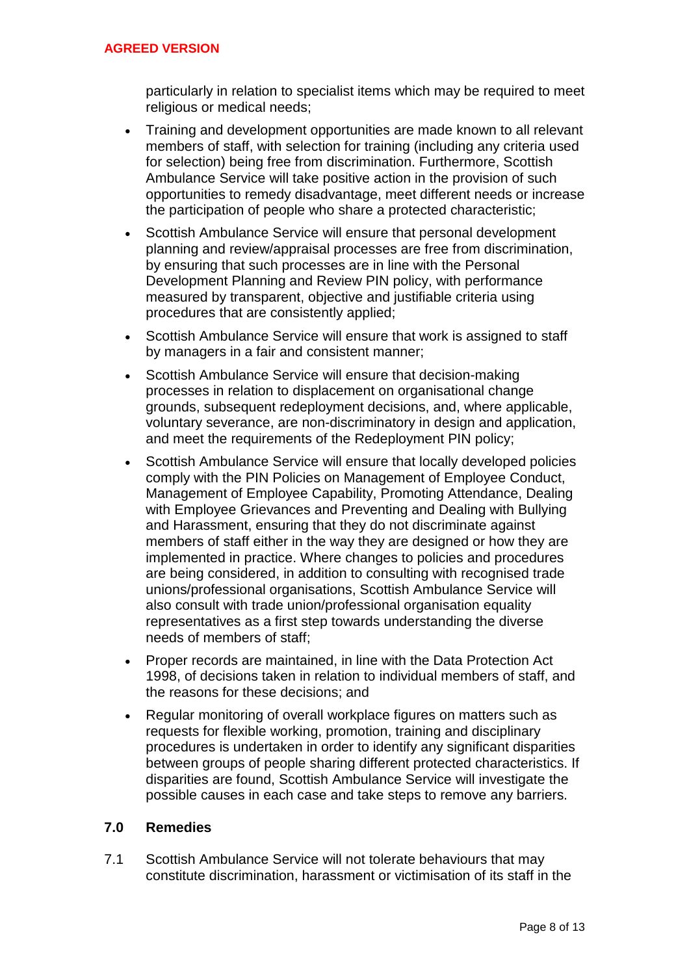particularly in relation to specialist items which may be required to meet religious or medical needs;

- Training and development opportunities are made known to all relevant members of staff, with selection for training (including any criteria used for selection) being free from discrimination. Furthermore, Scottish Ambulance Service will take positive action in the provision of such opportunities to remedy disadvantage, meet different needs or increase the participation of people who share a protected characteristic;
- Scottish Ambulance Service will ensure that personal development planning and review/appraisal processes are free from discrimination, by ensuring that such processes are in line with the Personal Development Planning and Review PIN policy, with performance measured by transparent, objective and justifiable criteria using procedures that are consistently applied;
- Scottish Ambulance Service will ensure that work is assigned to staff by managers in a fair and consistent manner;
- Scottish Ambulance Service will ensure that decision-making processes in relation to displacement on organisational change grounds, subsequent redeployment decisions, and, where applicable, voluntary severance, are non-discriminatory in design and application, and meet the requirements of the Redeployment PIN policy;
- Scottish Ambulance Service will ensure that locally developed policies comply with the PIN Policies on Management of Employee Conduct, Management of Employee Capability, Promoting Attendance, Dealing with Employee Grievances and Preventing and Dealing with Bullying and Harassment, ensuring that they do not discriminate against members of staff either in the way they are designed or how they are implemented in practice. Where changes to policies and procedures are being considered, in addition to consulting with recognised trade unions/professional organisations, Scottish Ambulance Service will also consult with trade union/professional organisation equality representatives as a first step towards understanding the diverse needs of members of staff;
- Proper records are maintained, in line with the Data Protection Act 1998, of decisions taken in relation to individual members of staff, and the reasons for these decisions; and
- Regular monitoring of overall workplace figures on matters such as requests for flexible working, promotion, training and disciplinary procedures is undertaken in order to identify any significant disparities between groups of people sharing different protected characteristics. If disparities are found, Scottish Ambulance Service will investigate the possible causes in each case and take steps to remove any barriers.

## **7.0 Remedies**

7.1 Scottish Ambulance Service will not tolerate behaviours that may constitute discrimination, harassment or victimisation of its staff in the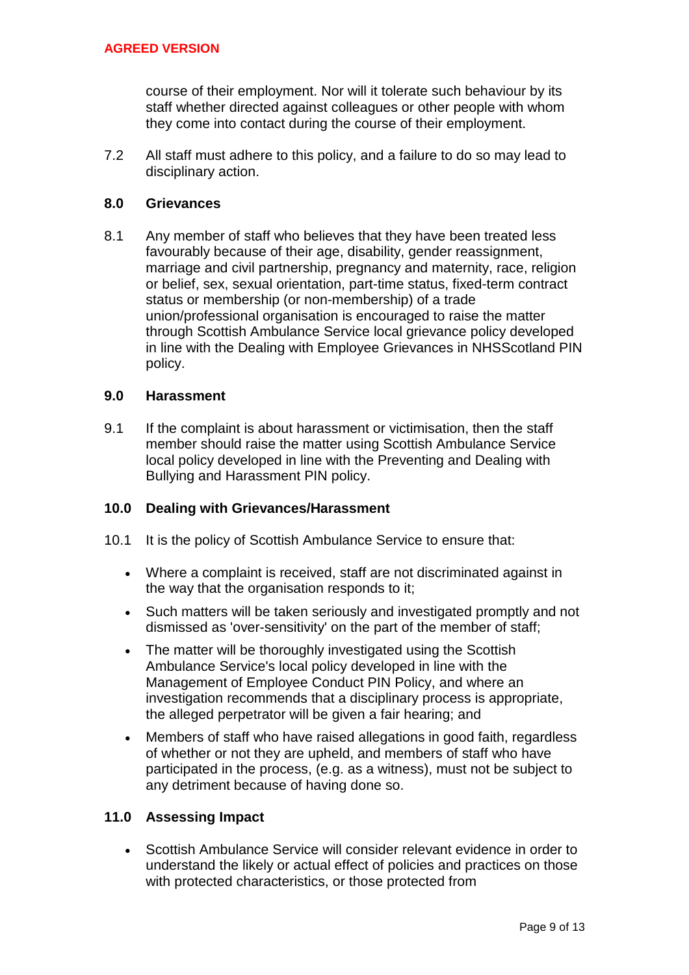course of their employment. Nor will it tolerate such behaviour by its staff whether directed against colleagues or other people with whom they come into contact during the course of their employment.

7.2 All staff must adhere to this policy, and a failure to do so may lead to disciplinary action.

## **8.0 Grievances**

8.1 Any member of staff who believes that they have been treated less favourably because of their age, disability, gender reassignment, marriage and civil partnership, pregnancy and maternity, race, religion or belief, sex, sexual orientation, part-time status, fixed-term contract status or membership (or non-membership) of a trade union/professional organisation is encouraged to raise the matter through Scottish Ambulance Service local grievance policy developed in line with the Dealing with Employee Grievances in NHSScotland PIN policy.

### **9.0 Harassment**

9.1 If the complaint is about harassment or victimisation, then the staff member should raise the matter using Scottish Ambulance Service local policy developed in line with the Preventing and Dealing with Bullying and Harassment PIN policy.

#### **10.0 Dealing with Grievances/Harassment**

- 10.1 It is the policy of Scottish Ambulance Service to ensure that:
	- Where a complaint is received, staff are not discriminated against in the way that the organisation responds to it;
	- Such matters will be taken seriously and investigated promptly and not dismissed as 'over-sensitivity' on the part of the member of staff;
	- The matter will be thoroughly investigated using the Scottish Ambulance Service's local policy developed in line with the Management of Employee Conduct PIN Policy, and where an investigation recommends that a disciplinary process is appropriate, the alleged perpetrator will be given a fair hearing; and
	- Members of staff who have raised allegations in good faith, regardless of whether or not they are upheld, and members of staff who have participated in the process, (e.g. as a witness), must not be subject to any detriment because of having done so.

#### **11.0 Assessing Impact**

 Scottish Ambulance Service will consider relevant evidence in order to understand the likely or actual effect of policies and practices on those with protected characteristics, or those protected from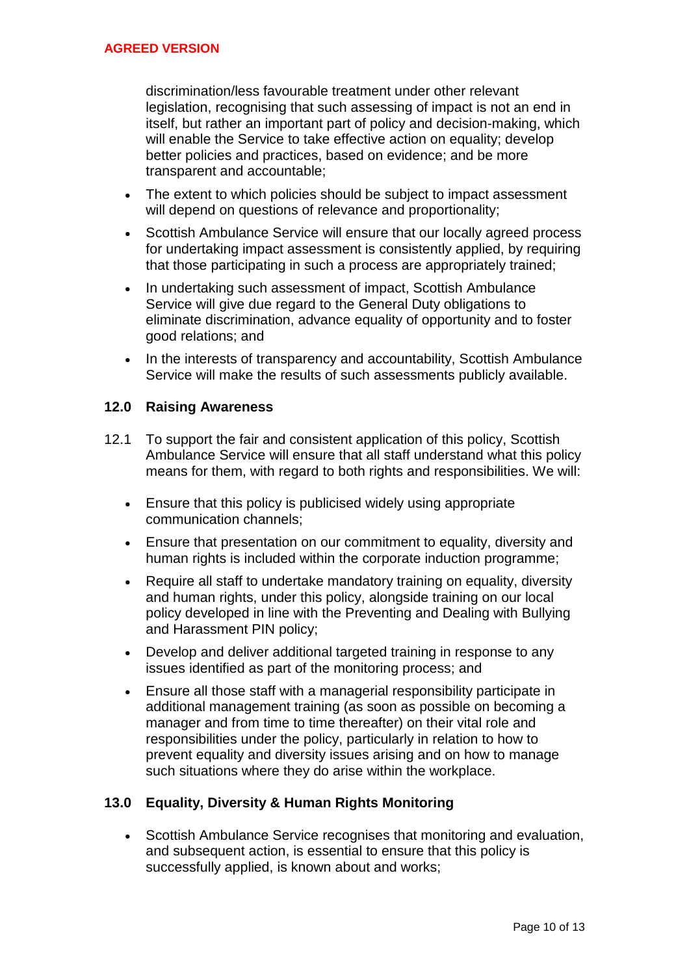discrimination/less favourable treatment under other relevant legislation, recognising that such assessing of impact is not an end in itself, but rather an important part of policy and decision-making, which will enable the Service to take effective action on equality; develop better policies and practices, based on evidence; and be more transparent and accountable;

- The extent to which policies should be subject to impact assessment will depend on questions of relevance and proportionality;
- Scottish Ambulance Service will ensure that our locally agreed process for undertaking impact assessment is consistently applied, by requiring that those participating in such a process are appropriately trained;
- In undertaking such assessment of impact, Scottish Ambulance Service will give due regard to the General Duty obligations to eliminate discrimination, advance equality of opportunity and to foster good relations; and
- In the interests of transparency and accountability, Scottish Ambulance Service will make the results of such assessments publicly available.

# **12.0 Raising Awareness**

- 12.1 To support the fair and consistent application of this policy, Scottish Ambulance Service will ensure that all staff understand what this policy means for them, with regard to both rights and responsibilities. We will:
	- Ensure that this policy is publicised widely using appropriate communication channels;
	- Ensure that presentation on our commitment to equality, diversity and human rights is included within the corporate induction programme;
	- Require all staff to undertake mandatory training on equality, diversity and human rights, under this policy, alongside training on our local policy developed in line with the Preventing and Dealing with Bullying and Harassment PIN policy;
	- Develop and deliver additional targeted training in response to any issues identified as part of the monitoring process; and
	- Ensure all those staff with a managerial responsibility participate in additional management training (as soon as possible on becoming a manager and from time to time thereafter) on their vital role and responsibilities under the policy, particularly in relation to how to prevent equality and diversity issues arising and on how to manage such situations where they do arise within the workplace.

# **13.0 Equality, Diversity & Human Rights Monitoring**

 Scottish Ambulance Service recognises that monitoring and evaluation, and subsequent action, is essential to ensure that this policy is successfully applied, is known about and works;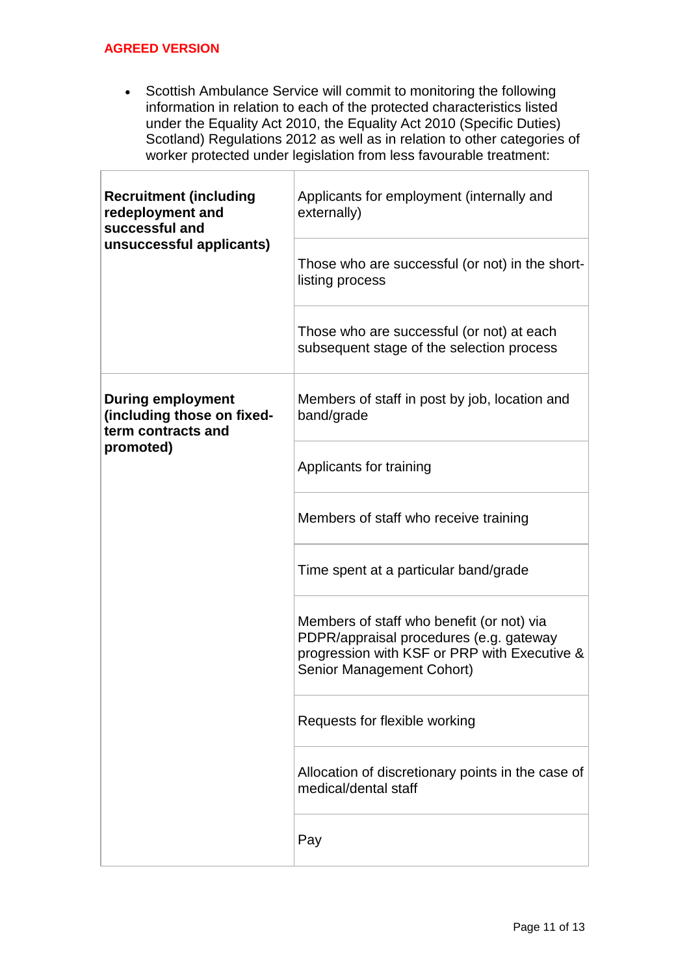Г

 Scottish Ambulance Service will commit to monitoring the following information in relation to each of the protected characteristics listed under the Equality Act 2010, the Equality Act 2010 (Specific Duties) Scotland) Regulations 2012 as well as in relation to other categories of worker protected under legislation from less favourable treatment:

| <b>Recruitment (including</b><br>redeployment and<br>successful and<br>unsuccessful applicants) | Applicants for employment (internally and<br>externally)                                                                                                          |
|-------------------------------------------------------------------------------------------------|-------------------------------------------------------------------------------------------------------------------------------------------------------------------|
|                                                                                                 | Those who are successful (or not) in the short-<br>listing process                                                                                                |
|                                                                                                 | Those who are successful (or not) at each<br>subsequent stage of the selection process                                                                            |
| <b>During employment</b><br>(including those on fixed-<br>term contracts and<br>promoted)       | Members of staff in post by job, location and<br>band/grade                                                                                                       |
|                                                                                                 | Applicants for training                                                                                                                                           |
|                                                                                                 | Members of staff who receive training                                                                                                                             |
|                                                                                                 | Time spent at a particular band/grade                                                                                                                             |
|                                                                                                 | Members of staff who benefit (or not) via<br>PDPR/appraisal procedures (e.g. gateway<br>progression with KSF or PRP with Executive &<br>Senior Management Cohort) |
|                                                                                                 | Requests for flexible working                                                                                                                                     |
|                                                                                                 | Allocation of discretionary points in the case of<br>medical/dental staff                                                                                         |
|                                                                                                 | Pay                                                                                                                                                               |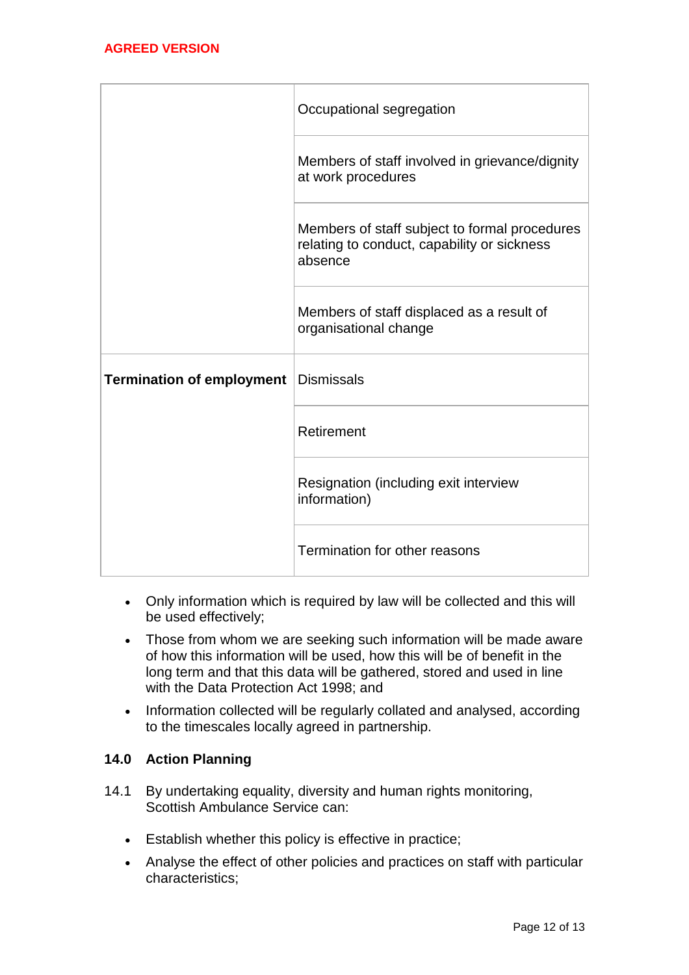|                                  | Occupational segregation                                                                                |  |
|----------------------------------|---------------------------------------------------------------------------------------------------------|--|
|                                  | Members of staff involved in grievance/dignity<br>at work procedures                                    |  |
|                                  | Members of staff subject to formal procedures<br>relating to conduct, capability or sickness<br>absence |  |
|                                  | Members of staff displaced as a result of<br>organisational change                                      |  |
| <b>Termination of employment</b> | <b>Dismissals</b>                                                                                       |  |
|                                  | Retirement                                                                                              |  |
|                                  | Resignation (including exit interview<br>information)                                                   |  |
|                                  | Termination for other reasons                                                                           |  |

- Only information which is required by law will be collected and this will be used effectively;
- Those from whom we are seeking such information will be made aware of how this information will be used, how this will be of benefit in the long term and that this data will be gathered, stored and used in line with the Data Protection Act 1998; and
- Information collected will be regularly collated and analysed, according to the timescales locally agreed in partnership.

# **14.0 Action Planning**

- 14.1 By undertaking equality, diversity and human rights monitoring, Scottish Ambulance Service can:
	- Establish whether this policy is effective in practice;
	- Analyse the effect of other policies and practices on staff with particular characteristics;